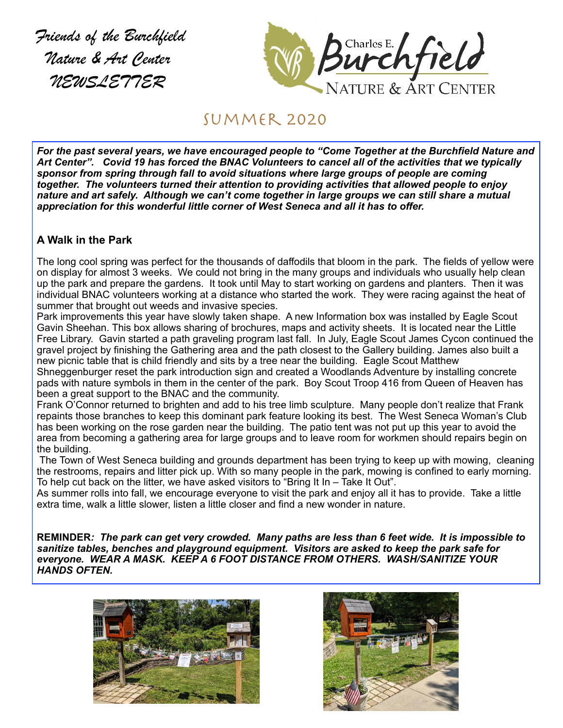*Friends of the Burchfield Nature & Art Center NEWSLETTER*



# Summer 2020

*For the past several years, we have encouraged people to "Come Together at the Burchfield Nature and Art Center". Covid 19 has forced the BNAC Volunteers to cancel all of the activities that we typically sponsor from spring through fall to avoid situations where large groups of people are coming together. The volunteers turned their attention to providing activities that allowed people to enjoy nature and art safely. Although we can't come together in large groups we can still share a mutual appreciation for this wonderful little corner of West Seneca and all it has to offer.* 

## **A Walk in the Park**

The long cool spring was perfect for the thousands of daffodils that bloom in the park. The fields of yellow were on display for almost 3 weeks. We could not bring in the many groups and individuals who usually help clean up the park and prepare the gardens. It took until May to start working on gardens and planters. Then it was individual BNAC volunteers working at a distance who started the work. They were racing against the heat of summer that brought out weeds and invasive species.

Park improvements this year have slowly taken shape. A new Information box was installed by Eagle Scout Gavin Sheehan. This box allows sharing of brochures, maps and activity sheets. It is located near the Little Free Library. Gavin started a path graveling program last fall. In July, Eagle Scout James Cycon continued the gravel project by finishing the Gathering area and the path closest to the Gallery building. James also built a new picnic table that is child friendly and sits by a tree near the building. Eagle Scout Matthew

Shneggenburger reset the park introduction sign and created a Woodlands Adventure by installing concrete pads with nature symbols in them in the center of the park. Boy Scout Troop 416 from Queen of Heaven has been a great support to the BNAC and the community.

Frank O'Connor returned to brighten and add to his tree limb sculpture. Many people don't realize that Frank repaints those branches to keep this dominant park feature looking its best. The West Seneca Woman's Club has been working on the rose garden near the building. The patio tent was not put up this year to avoid the area from becoming a gathering area for large groups and to leave room for workmen should repairs begin on the building.

 The Town of West Seneca building and grounds department has been trying to keep up with mowing, cleaning the restrooms, repairs and litter pick up. With so many people in the park, mowing is confined to early morning. To help cut back on the litter, we have asked visitors to "Bring It In – Take It Out".

As summer rolls into fall, we encourage everyone to visit the park and enjoy all it has to provide. Take a little extra time, walk a little slower, listen a little closer and find a new wonder in nature.

**REMINDER***: The park can get very crowded. Many paths are less than 6 feet wide. It is impossible to sanitize tables, benches and playground equipment. Visitors are asked to keep the park safe for everyone. WEAR A MASK. KEEP A 6 FOOT DISTANCE FROM OTHERS. WASH/SANITIZE YOUR HANDS OFTEN.* 



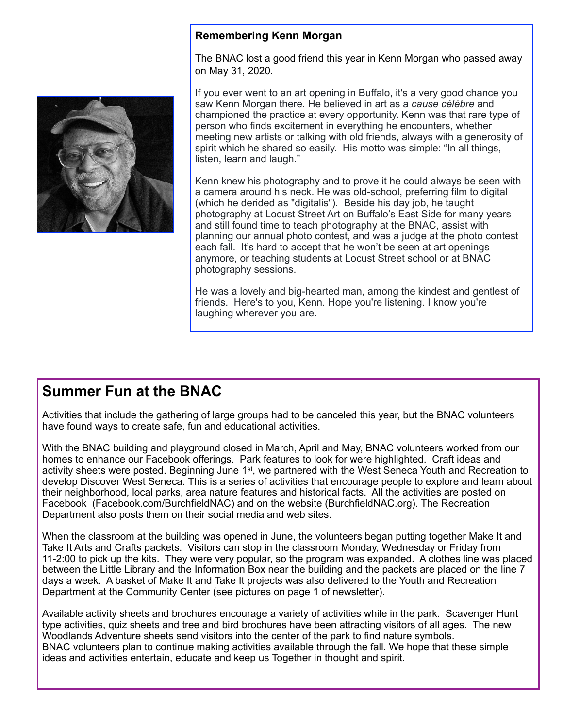### **Remembering Kenn Morgan**

The BNAC lost a good friend this year in Kenn Morgan who passed away on May 31, 2020.

If you ever went to an art opening in Buffalo, it's a very good chance you saw Kenn Morgan there. He believed in art as a *cause célèbre* and championed the practice at every opportunity. Kenn was that rare type of person who finds excitement in everything he encounters, whether meeting new artists or talking with old friends, always with a generosity of spirit which he shared so easily. His motto was simple: "In all things, listen, learn and laugh."

Kenn knew his photography and to prove it he could always be seen with a camera around his neck. He was old-school, preferring film to digital (which he derided as "digitalis"). Beside his day job, he taught photography at Locust Street Art on Buffalo's East Side for many years and still found time to teach photography at the BNAC, assist with planning our annual photo contest, and was a judge at the photo contest each fall. It's hard to accept that he won't be seen at art openings anymore, or teaching students at Locust Street school or at BNAC photography sessions.

He was a lovely and big-hearted man, among the kindest and gentlest of friends. Here's to you, Kenn. Hope you're listening. I know you're laughing wherever you are.

## **Summer Fun at the BNAC**

Activities that include the gathering of large groups had to be canceled this year, but the BNAC volunteers have found ways to create safe, fun and educational activities.

With the BNAC building and playground closed in March, April and May, BNAC volunteers worked from our homes to enhance our Facebook offerings. Park features to look for were highlighted. Craft ideas and activity sheets were posted. Beginning June 1st, we partnered with the West Seneca Youth and Recreation to develop Discover West Seneca. This is a series of activities that encourage people to explore and learn about their neighborhood, local parks, area nature features and historical facts. All the activities are posted on Facebook (Facebook.com/BurchfieldNAC) and on the website (BurchfieldNAC.org). The Recreation Department also posts them on their social media and web sites.

When the classroom at the building was opened in June, the volunteers began putting together Make It and Take It Arts and Crafts packets. Visitors can stop in the classroom Monday, Wednesday or Friday from 11-2:00 to pick up the kits. They were very popular, so the program was expanded. A clothes line was placed between the Little Library and the Information Box near the building and the packets are placed on the line 7 days a week. A basket of Make It and Take It projects was also delivered to the Youth and Recreation Department at the Community Center (see pictures on page 1 of newsletter).

Available activity sheets and brochures encourage a variety of activities while in the park. Scavenger Hunt type activities, quiz sheets and tree and bird brochures have been attracting visitors of all ages. The new Woodlands Adventure sheets send visitors into the center of the park to find nature symbols. BNAC volunteers plan to continue making activities available through the fall. We hope that these simple ideas and activities entertain, educate and keep us Together in thought and spirit.